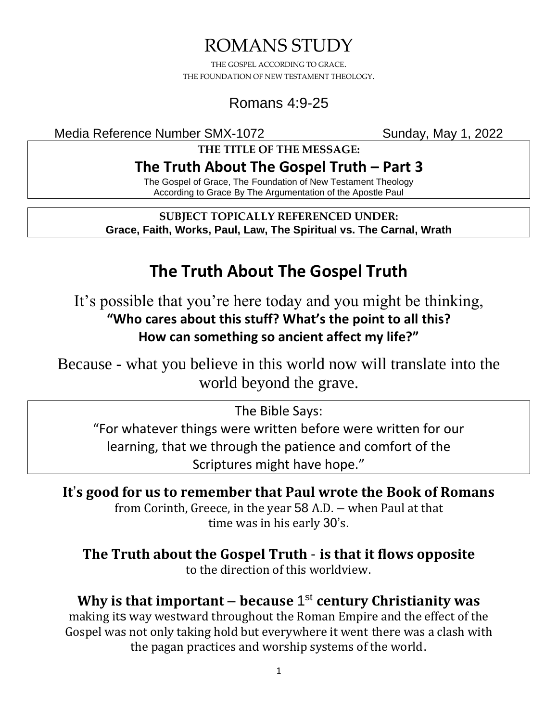# ROMANS STUDY

THE GOSPEL ACCORDING TO GRACE. THE FOUNDATION OF NEW TESTAMENT THEOLOGY.

## Romans 4:9-25

Media Reference Number SMX-1072 Sunday, May 1, 2022

**THE TITLE OF THE MESSAGE:**

## **The Truth About The Gospel Truth – Part 3**

The Gospel of Grace, The Foundation of New Testament Theology According to Grace By The Argumentation of the Apostle Paul

**SUBJECT TOPICALLY REFERENCED UNDER: Grace, Faith, Works, Paul, Law, The Spiritual vs. The Carnal, Wrath**

# **The Truth About The Gospel Truth**

It's possible that you're here today and you might be thinking, **"Who cares about this stuff? What's the point to all this? How can something so ancient affect my life?"**

Because - what you believe in this world now will translate into the world beyond the grave.

The Bible Says:

"For whatever things were written before were written for our learning, that we through the patience and comfort of the Scriptures might have hope."

**It**'**s good for us to remember that Paul wrote the Book of Romans** from Corinth, Greece, in the year 58 A.D. – when Paul at that time was in his early 30's.

**The Truth about the Gospel Truth** - **is that it flows opposite** to the direction of this worldview.

**Why is that important** – **because** 1 st **century Christianity was** making its way westward throughout the Roman Empire and the effect of the Gospel was not only taking hold but everywhere it went there was a clash with the pagan practices and worship systems of the world.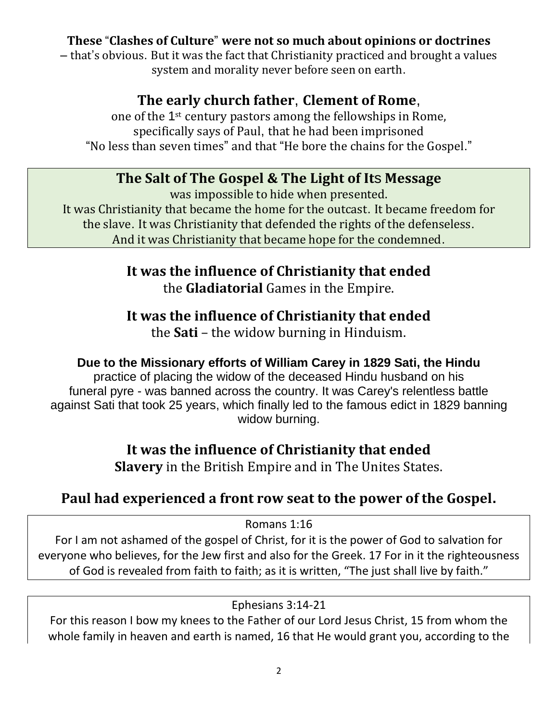#### **These** "**Clashes of Culture**" **were not so much about opinions or doctrines**

– that's obvious. But it was the fact that Christianity practiced and brought a values system and morality never before seen on earth.

#### **The early church father**, **Clement of Rome**,

one of the 1st century pastors among the fellowships in Rome, specifically says of Paul, that he had been imprisoned "No less than seven times" and that "He bore the chains for the Gospel."

#### **The Salt of The Gospel & The Light of It**s **Message**

was impossible to hide when presented. It was Christianity that became the home for the outcast. It became freedom for the slave. It was Christianity that defended the rights of the defenseless. And it was Christianity that became hope for the condemned.

> **It was the influence of Christianity that ended** the **Gladiatorial** Games in the Empire.

## **It was the influence of Christianity that ended**

the **Sati** – the widow burning in Hinduism.

#### **Due to the Missionary efforts of William Carey in 1829 Sati, the Hindu**

practice of placing the widow of the deceased Hindu husband on his funeral pyre - was banned across the country. It was Carey's relentless battle against Sati that took 25 years, which finally led to the famous edict in 1829 banning widow burning.

#### **It was the influence of Christianity that ended**

**Slavery** in the British Empire and in The Unites States.

#### **Paul had experienced a front row seat to the power of the Gospel.**

Romans 1:16

For I am not ashamed of the gospel of Christ, for it is the power of God to salvation for everyone who believes, for the Jew first and also for the Greek. 17 For in it the righteousness of God is revealed from faith to faith; as it is written, "The just shall live by faith."

#### Ephesians 3:14-21

For this reason I bow my knees to the Father of our Lord Jesus Christ, 15 from whom the whole family in heaven and earth is named, 16 that He would grant you, according to the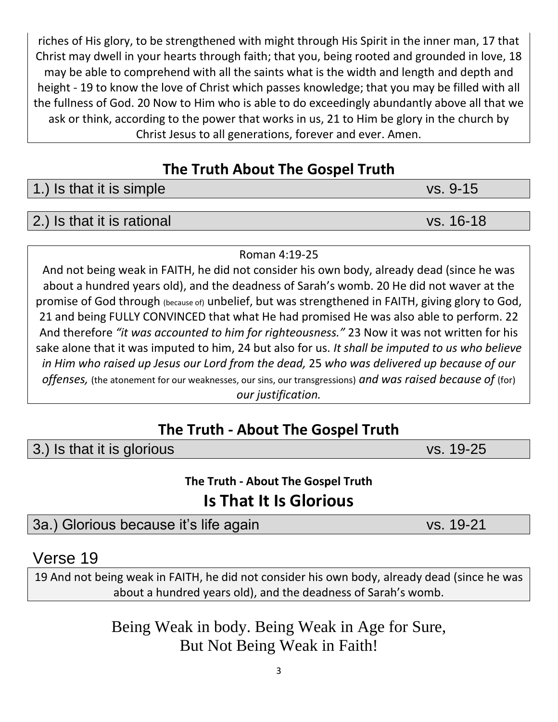riches of His glory, to be strengthened with might through His Spirit in the inner man, 17 that Christ may dwell in your hearts through faith; that you, being rooted and grounded in love, 18 may be able to comprehend with all the saints what is the width and length and depth and height - 19 to know the love of Christ which passes knowledge; that you may be filled with all the fullness of God. 20 Now to Him who is able to do exceedingly abundantly above all that we ask or think, according to the power that works in us, 21 to Him be glory in the church by Christ Jesus to all generations, forever and ever. Amen.

## **The Truth About The Gospel Truth**

1.) Is that it is simple vs. 9-15

#### 2.) Is that it is rational vs. 16-18

#### Roman 4:19-25

And not being weak in FAITH, he did not consider his own body, already dead (since he was about a hundred years old), and the deadness of Sarah's womb. 20 He did not waver at the promise of God through (because of) unbelief, but was strengthened in FAITH, giving glory to God, 21 and being FULLY CONVINCED that what He had promised He was also able to perform. 22 And therefore *"it was accounted to him for righteousness."* 23 Now it was not written for his sake alone that it was imputed to him, 24 but also for us. *It shall be imputed to us who believe in Him who raised up Jesus our Lord from the dead,* 25 *who was delivered up because of our offenses,* (the atonement for our weaknesses, our sins, our transgressions) *and was raised because of* (for) *our justification.*

## **The Truth - About The Gospel Truth**

3.) Is that it is glorious vs. 19-25

**The Truth - About The Gospel Truth**

# **Is That It Is Glorious**

3a.) Glorious because it's life again vs. 19-21

### Verse 19

19 And not being weak in FAITH, he did not consider his own body, already dead (since he was about a hundred years old), and the deadness of Sarah's womb.

> Being Weak in body. Being Weak in Age for Sure, But Not Being Weak in Faith!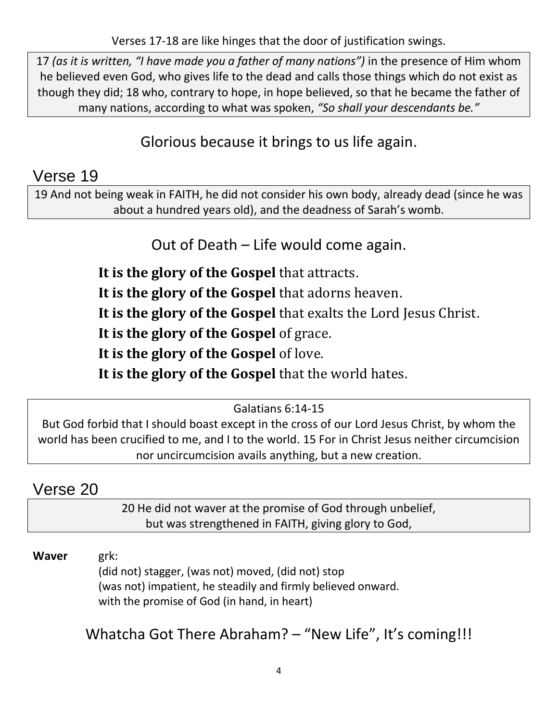Verses 17-18 are like hinges that the door of justification swings.

17 *(as it is written, "I have made you a father of many nations")* in the presence of Him whom he believed even God, who gives life to the dead and calls those things which do not exist as though they did; 18 who, contrary to hope, in hope believed, so that he became the father of many nations, according to what was spoken, *"So shall your descendants be."*

## Glorious because it brings to us life again.

## Verse 19

19 And not being weak in FAITH, he did not consider his own body, already dead (since he was about a hundred years old), and the deadness of Sarah's womb.

## Out of Death – Life would come again.

**It is the glory of the Gospel** that attracts.

**It is the glory of the Gospel** that adorns heaven.

**It is the glory of the Gospel** that exalts the Lord Jesus Christ.

**It is the glory of the Gospel** of grace.

**It is the glory of the Gospel** of love.

**It is the glory of the Gospel** that the world hates.

#### Galatians 6:14-15

But God forbid that I should boast except in the cross of our Lord Jesus Christ, by whom the world has been crucified to me, and I to the world. 15 For in Christ Jesus neither circumcision nor uncircumcision avails anything, but a new creation.

## Verse 20

20 He did not waver at the promise of God through unbelief, but was strengthened in FAITH, giving glory to God,

#### **Waver** grk:

(did not) stagger, (was not) moved, (did not) stop (was not) impatient, he steadily and firmly believed onward. with the promise of God (in hand, in heart)

Whatcha Got There Abraham? - "New Life", It's coming!!!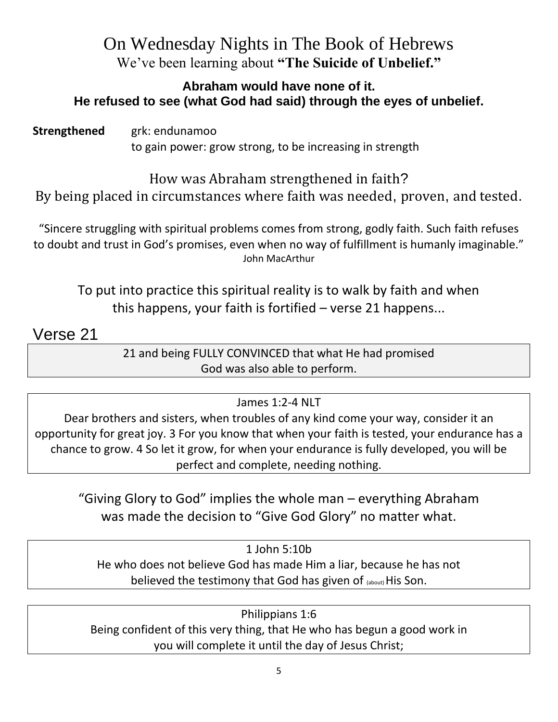## On Wednesday Nights in The Book of Hebrews We've been learning about **"The Suicide of Unbelief."**

#### **Abraham would have none of it. He refused to see (what God had said) through the eyes of unbelief.**

**Strengthened grk: endunamoo** to gain power: grow strong, to be increasing in strength

How was Abraham strengthened in faith? By being placed in circumstances where faith was needed, proven, and tested.

"Sincere struggling with spiritual problems comes from strong, godly faith. Such faith refuses to doubt and trust in God's promises, even when no way of fulfillment is humanly imaginable." John MacArthur

To put into practice this spiritual reality is to walk by faith and when this happens, your faith is fortified – verse 21 happens...

Verse 21

21 and being FULLY CONVINCED that what He had promised God was also able to perform.

#### James 1:2-4 NLT

Dear brothers and sisters, when troubles of any kind come your way, consider it an opportunity for great joy. 3 For you know that when your faith is tested, your endurance has a chance to grow. 4 So let it grow, for when your endurance is fully developed, you will be perfect and complete, needing nothing.

"Giving Glory to God" implies the whole man – everything Abraham was made the decision to "Give God Glory" no matter what.

1 John 5:10b He who does not believe God has made Him a liar, because he has not believed the testimony that God has given of (about) His Son.

Philippians 1:6 Being confident of this very thing, that He who has begun a good work in you will complete it until the day of Jesus Christ;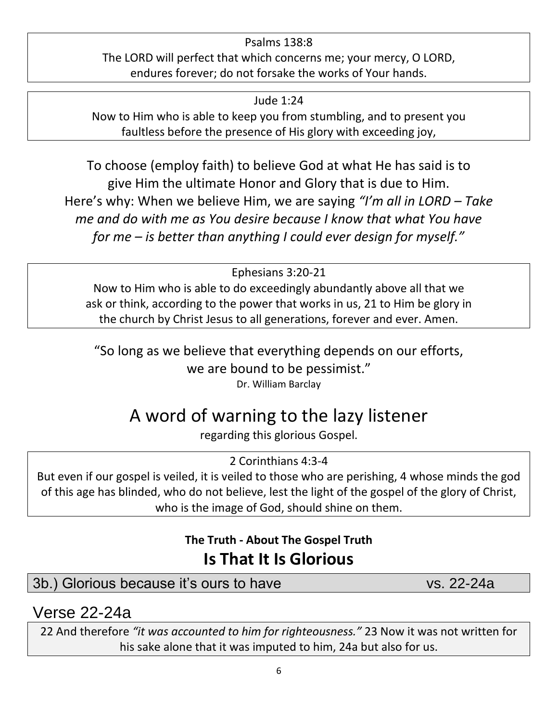#### Psalms 138:8 The LORD will perfect that which concerns me; your mercy, O LORD, endures forever; do not forsake the works of Your hands.

Jude 1:24

Now to Him who is able to keep you from stumbling, and to present you faultless before the presence of His glory with exceeding joy,

To choose (employ faith) to believe God at what He has said is to give Him the ultimate Honor and Glory that is due to Him. Here's why: When we believe Him, we are saying *"I'm all in LORD – Take me and do with me as You desire because I know that what You have for me – is better than anything I could ever design for myself."*

Ephesians 3:20-21

Now to Him who is able to do exceedingly abundantly above all that we ask or think, according to the power that works in us, 21 to Him be glory in the church by Christ Jesus to all generations, forever and ever. Amen.

"So long as we believe that everything depends on our efforts, we are bound to be pessimist." Dr. William Barclay

# A word of warning to the lazy listener

regarding this glorious Gospel.

2 Corinthians 4:3-4

But even if our gospel is veiled, it is veiled to those who are perishing, 4 whose minds the god of this age has blinded, who do not believe, lest the light of the gospel of the glory of Christ, who is the image of God, should shine on them.

## **The Truth - About The Gospel Truth Is That It Is Glorious**

3b.) Glorious because it's ours to have vs. 22-24a

## Verse 22-24a

22 And therefore *"it was accounted to him for righteousness."* 23 Now it was not written for his sake alone that it was imputed to him, 24a but also for us.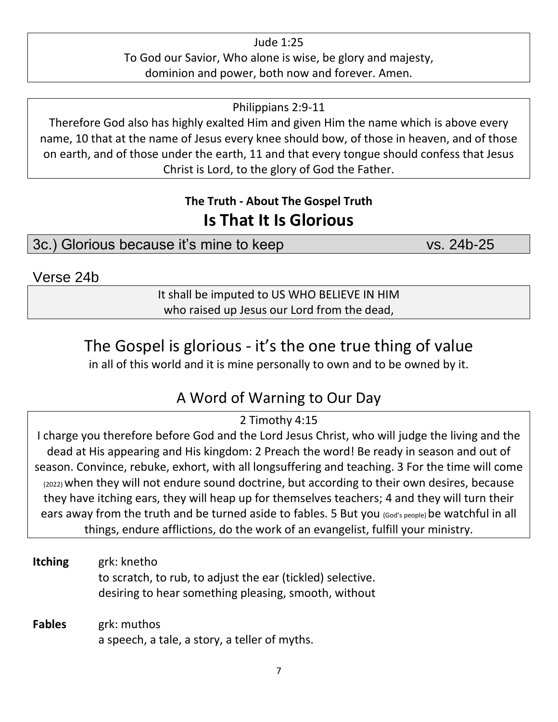Jude 1:25 To God our Savior, Who alone is wise, be glory and majesty, dominion and power, both now and forever. Amen.

Philippians 2:9-11

Therefore God also has highly exalted Him and given Him the name which is above every name, 10 that at the name of Jesus every knee should bow, of those in heaven, and of those on earth, and of those under the earth, 11 and that every tongue should confess that Jesus Christ is Lord, to the glory of God the Father.

### **The Truth - About The Gospel Truth Is That It Is Glorious**

3c.) Glorious because it's mine to keep vs. 24b-25

Verse 24b

It shall be imputed to US WHO BELIEVE IN HIM who raised up Jesus our Lord from the dead,

## The Gospel is glorious - it's the one true thing of value

in all of this world and it is mine personally to own and to be owned by it.

## A Word of Warning to Our Day

#### 2 Timothy 4:15

I charge you therefore before God and the Lord Jesus Christ, who will judge the living and the dead at His appearing and His kingdom: 2 Preach the word! Be ready in season and out of season. Convince, rebuke, exhort, with all longsuffering and teaching. 3 For the time will come (2022) when they will not endure sound doctrine, but according to their own desires, because they have itching ears, they will heap up for themselves teachers; 4 and they will turn their ears away from the truth and be turned aside to fables. 5 But you (God's people) be watchful in all things, endure afflictions, do the work of an evangelist, fulfill your ministry.

**Itching** grk: knetho to scratch, to rub, to adjust the ear (tickled) selective. desiring to hear something pleasing, smooth, without

**Fables** grk: muthos a speech, a tale, a story, a teller of myths.